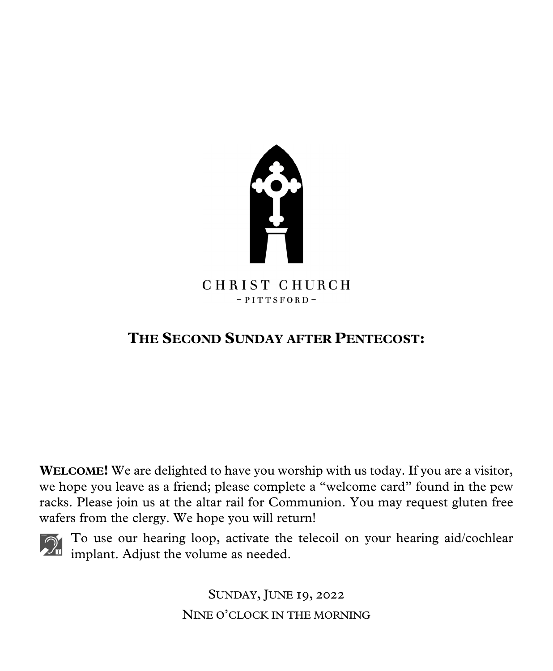

# **THE SECOND SUNDAY AFTER PENTECOST:**

**WELCOME!** We are delighted to have you worship with us today. If you are a visitor, we hope you leave as a friend; please complete a "welcome card" found in the pew racks. Please join us at the altar rail for Communion. You may request gluten free wafers from the clergy. We hope you will return!



To use our hearing loop, activate the telecoil on your hearing aid/cochlear  $\sum_{n=1}^{\infty}$  inplant. Adjust the volume as needed.

> SUNDAY, JUNE 19, 2022 NINE O'CLOCK IN THE MORNING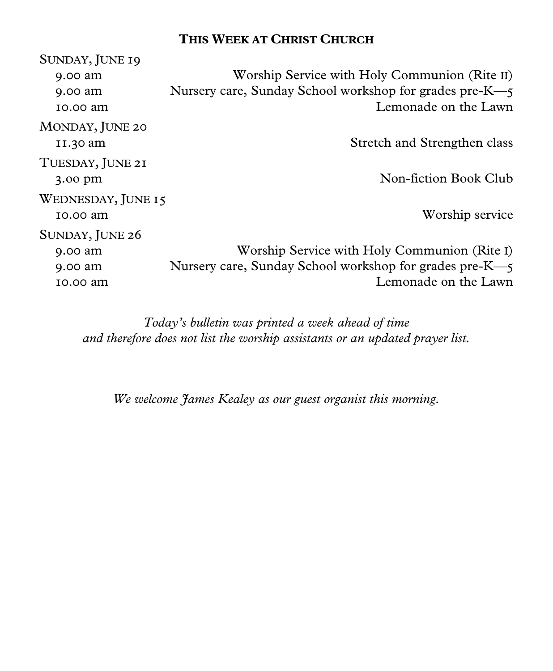#### **THIS WEEK AT CHRIST CHURCH**

| SUNDAY, JUNE 19    |                                                             |
|--------------------|-------------------------------------------------------------|
| 9.00 am            | Worship Service with Holy Communion (Rite II)               |
| 9.00 am            | Nursery care, Sunday School workshop for grades pre- $K$ —5 |
| 10.00 am           | Lemonade on the Lawn                                        |
| MONDAY, JUNE 20    |                                                             |
| 11.30 am           | Stretch and Strengthen class                                |
| TUESDAY, JUNE 21   |                                                             |
| $3.00 \text{ pm}$  | Non-fiction Book Club                                       |
| WEDNESDAY, JUNE 15 |                                                             |
| 10.00 am           | Worship service                                             |
| SUNDAY, JUNE 26    |                                                             |
| 9.00 am            | Worship Service with Holy Communion (Rite I)                |
| 9.00 am            | Nursery care, Sunday School workshop for grades pre- $K$ —5 |
| 10.00 am           | Lemonade on the Lawn                                        |
|                    |                                                             |

*Today's bulletin was printed a week ahead of time and therefore does not list the worship assistants or an updated prayer list.*

*We welcome James Kealey as our guest organist this morning.*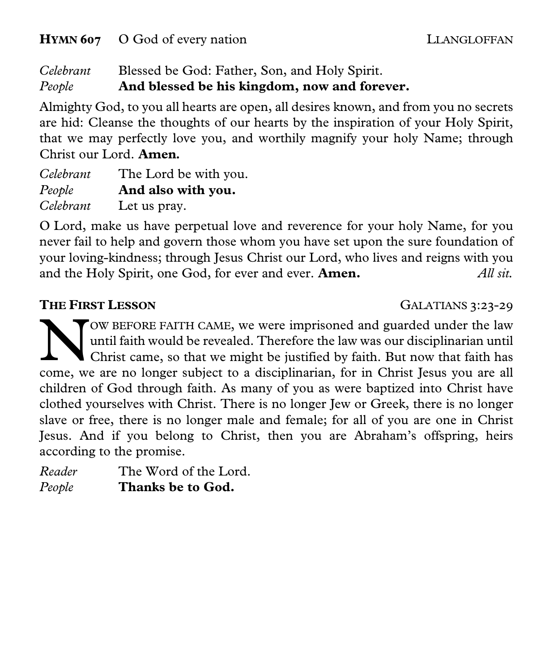### **HYMN 607** O God of every nation LLANGLOFFAN

# *Celebrant* Blessed be God: Father, Son, and Holy Spirit. *People* **And blessed be his kingdom, now and forever.**

Almighty God, to you all hearts are open, all desires known, and from you no secrets are hid: Cleanse the thoughts of our hearts by the inspiration of your Holy Spirit, that we may perfectly love you, and worthily magnify your holy Name; through Christ our Lord. **Amen***.*

| Celebrant | The Lord be with you. |
|-----------|-----------------------|
| People    | And also with you.    |
| Celebrant | Let us pray.          |

O Lord, make us have perpetual love and reverence for your holy Name, for you never fail to help and govern those whom you have set upon the sure foundation of your loving-kindness; through Jesus Christ our Lord, who lives and reigns with you and the Holy Spirit, one God, for ever and ever. **Amen.** *All sit.*

# **THE FIRST LESSON** GALATIANS 3:23-29

OW BEFORE FAITH CAME, we were imprisoned and guarded under the law until faith would be revealed. Therefore the law was our disciplinarian until Christ came, so that we might be justified by faith. But now that faith has TOW BEFORE FAITH CAME, we were imprisoned and guarded under the law until faith would be revealed. Therefore the law was our disciplinarian until Christ came, so that we might be justified by faith. But now that faith has children of God through faith. As many of you as were baptized into Christ have clothed yourselves with Christ. There is no longer Jew or Greek, there is no longer slave or free, there is no longer male and female; for all of you are one in Christ Jesus. And if you belong to Christ, then you are Abraham's offspring, heirs according to the promise.

*Reader* The Word of the Lord. *People* **Thanks be to God.**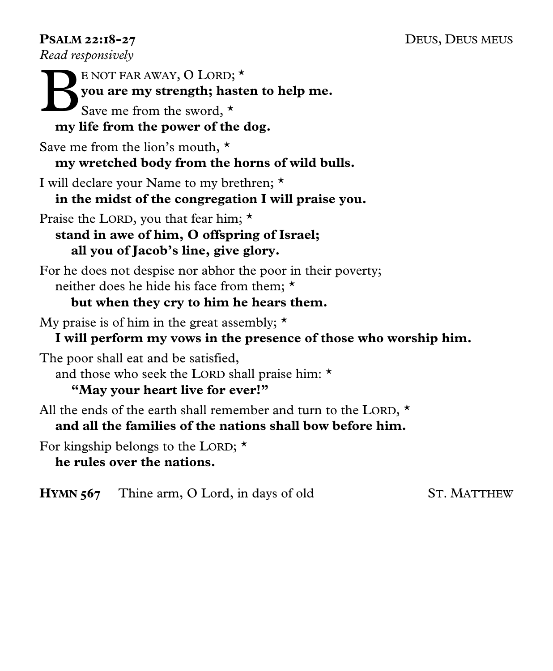#### **PSALM 22:18-27** DEUS, DEUS MEUS

# *Read responsively*

E NOT FAR AWAY, O LORD; \* **you are my strength; hasten to help me.** Save me from the sword, \* B F NOT FAR AWAY, O LORD; \*<br>
you are my strength; hasten to<br>
Save me from the sword, \*<br>
my life from the power of the dog. Save me from the lion's mouth, \* **my wretched body from the horns of wild bulls.** I will declare your Name to my brethren; \* **in the midst of the congregation I will praise you.** Praise the LORD, you that fear him: \* **stand in awe of him, O offspring of Israel; all you of Jacob's line, give glory.** For he does not despise nor abhor the poor in their poverty; neither does he hide his face from them; \* **but when they cry to him he hears them.** My praise is of him in the great assembly;  $\star$ **I will perform my vows in the presence of those who worship him.** The poor shall eat and be satisfied, and those who seek the LORD shall praise him: \* **"May your heart live for ever!"** All the ends of the earth shall remember and turn to the LORD, \* **and all the families of the nations shall bow before him.** For kingship belongs to the LORD; \* **he rules over the nations.**

**HYMN 567** Thine arm, O Lord, in days of old ST. MATTHEW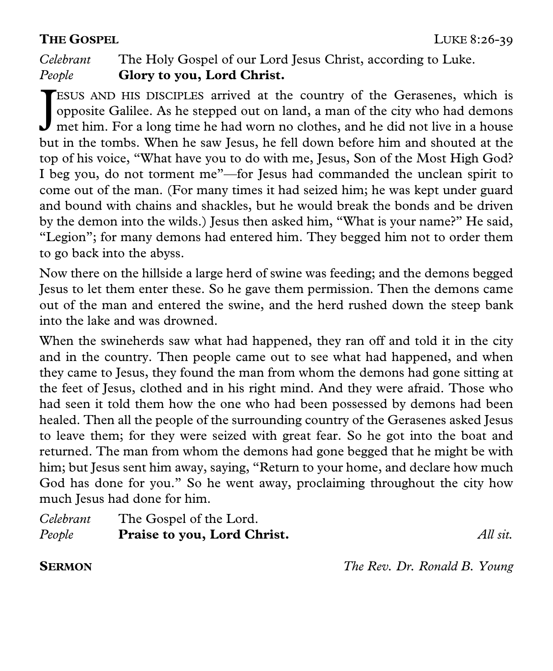# *Celebrant* The Holy Gospel of our Lord Jesus Christ, according to Luke. *People* **Glory to you, Lord Christ.**

ESUS AND HIS DISCIPLES arrived at the country of the Gerasenes, which is opposite Galilee. As he stepped out on land, a man of the city who had demons ESUS AND HIS DISCIPLES arrived at the country of the Gerasenes, which is opposite Galilee. As he stepped out on land, a man of the city who had demons met him. For a long time he had worn no clothes, and he did not live in but in the tombs. When he saw Jesus, he fell down before him and shouted at the top of his voice, "What have you to do with me, Jesus, Son of the Most High God? I beg you, do not torment me"—for Jesus had commanded the unclean spirit to come out of the man. (For many times it had seized him; he was kept under guard and bound with chains and shackles, but he would break the bonds and be driven by the demon into the wilds.) Jesus then asked him, "What is your name?" He said, "Legion"; for many demons had entered him. They begged him not to order them to go back into the abyss.

Now there on the hillside a large herd of swine was feeding; and the demons begged Jesus to let them enter these. So he gave them permission. Then the demons came out of the man and entered the swine, and the herd rushed down the steep bank into the lake and was drowned.

When the swineherds saw what had happened, they ran off and told it in the city and in the country. Then people came out to see what had happened, and when they came to Jesus, they found the man from whom the demons had gone sitting at the feet of Jesus, clothed and in his right mind. And they were afraid. Those who had seen it told them how the one who had been possessed by demons had been healed. Then all the people of the surrounding country of the Gerasenes asked Jesus to leave them; for they were seized with great fear. So he got into the boat and returned. The man from whom the demons had gone begged that he might be with him; but Jesus sent him away, saying, "Return to your home, and declare how much God has done for you." So he went away, proclaiming throughout the city how much Jesus had done for him.

| Celebrant | The Gospel of the Lord.     |          |
|-----------|-----------------------------|----------|
| People    | Praise to you, Lord Christ. | All sit. |

**SERMON** *The Rev. Dr. Ronald B. Young*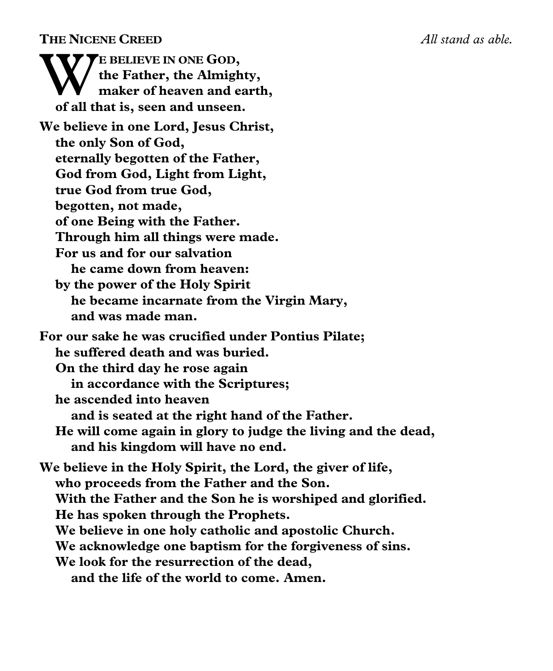**F F** BELIEVE IN ONE GOD, **the Father, the Almighty, maker of heaven and earth, be BELIEVE IN ONE GOD,**<br>the Father, the Almight<br>of all that is, seen and unseen. **We believe in one Lord, Jesus Christ, the only Son of God, eternally begotten of the Father, God from God, Light from Light, true God from true God, begotten, not made, of one Being with the Father. Through him all things were made. For us and for our salvation he came down from heaven: by the power of the Holy Spirit he became incarnate from the Virgin Mary, and was made man. For our sake he was crucified under Pontius Pilate; he suffered death and was buried. On the third day he rose again in accordance with the Scriptures; he ascended into heaven and is seated at the right hand of the Father. He will come again in glory to judge the living and the dead, and his kingdom will have no end. We believe in the Holy Spirit, the Lord, the giver of life, who proceeds from the Father and the Son. With the Father and the Son he is worshiped and glorified. He has spoken through the Prophets. We believe in one holy catholic and apostolic Church. We acknowledge one baptism for the forgiveness of sins. We look for the resurrection of the dead, and the life of the world to come. Amen.**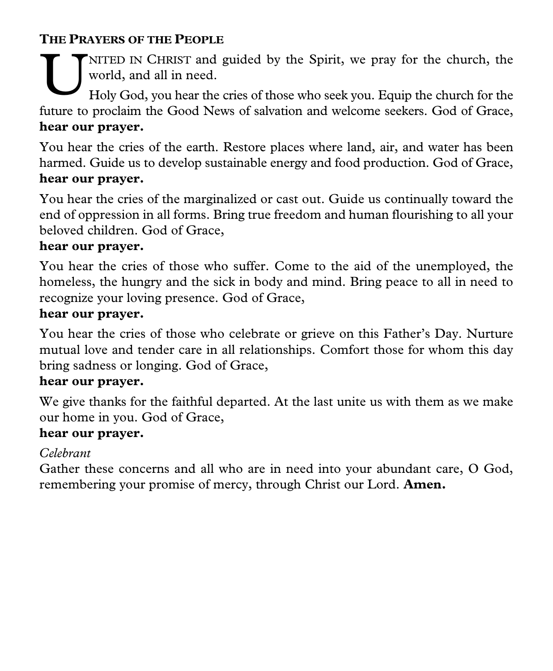# **THE PRAYERS OF THE PEOPLE**

NITED IN CHRIST and guided by the Spirit, we pray for the church, the world, and all in need.

Holy God, you hear the cries of those who seek you. Equip the church for the **function** INCHRIST and guided by the Spirit, we pray for the church, the world, and all in need.<br>
Holy God, you hear the cries of those who seek you. Equip the church for the future to proclaim the Good News of salvation **hear our prayer.**

You hear the cries of the earth. Restore places where land, air, and water has been harmed. Guide us to develop sustainable energy and food production. God of Grace, **hear our prayer.**

You hear the cries of the marginalized or cast out. Guide us continually toward the end of oppression in all forms. Bring true freedom and human flourishing to all your beloved children. God of Grace,

# **hear our prayer.**

You hear the cries of those who suffer. Come to the aid of the unemployed, the homeless, the hungry and the sick in body and mind. Bring peace to all in need to recognize your loving presence. God of Grace,

# **hear our prayer.**

You hear the cries of those who celebrate or grieve on this Father's Day. Nurture mutual love and tender care in all relationships. Comfort those for whom this day bring sadness or longing. God of Grace,

# **hear our prayer.**

We give thanks for the faithful departed. At the last unite us with them as we make our home in you. God of Grace,

# **hear our prayer.**

# *Celebrant*

Gather these concerns and all who are in need into your abundant care, O God, remembering your promise of mercy, through Christ our Lord. **Amen.**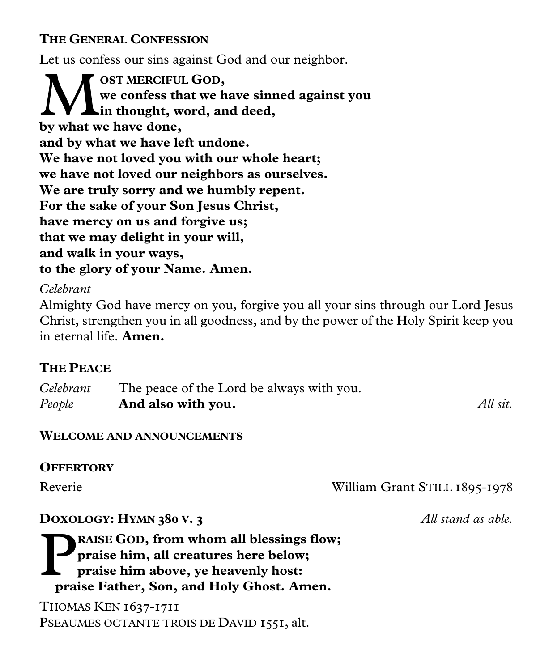# **THE GENERAL CONFESSION**

Let us confess our sins against God and our neighbor.

**OST MERCIFUL GOD, we confess that we have sinned against you in thought, word, and deed, by** what we have done, **and by what we have left undone. We have not loved you with our whole heart; we have not loved our neighbors as ourselves. We are truly sorry and we humbly repent. For the sake of your Son Jesus Christ, have mercy on us and forgive us; that we may delight in your will, and walk in your ways, to the glory of your Name. Amen.**

*Celebrant*

Almighty God have mercy on you, forgive you all your sins through our Lord Jesus Christ, strengthen you in all goodness, and by the power of the Holy Spirit keep you in eternal life. **Amen.**

#### **THE PEACE**

| Celebrant | The peace of the Lord be always with you. |          |
|-----------|-------------------------------------------|----------|
| People    | And also with you.                        | All sit. |

#### **WELCOME AND ANNOUNCEMENTS**

#### **OFFERTORY**

| William Grant STILL 1895-1978 |
|-------------------------------|
|                               |

#### **DOXOLOGY: HYMN 380 V. 3** *All stand as able.*

**RAISE GOD, from whom all blessings flow; praise him, all creatures here below; praise him above, ye heavenly host: praise GOD, from whom all blessings flow**<br>praise him, all creatures here below;<br>praise Father, Son, and Holy Ghost. Amen.

THOMAS KEN 1637-1711 PSEAUMES OCTANTE TROIS DE DAVID 1551, alt.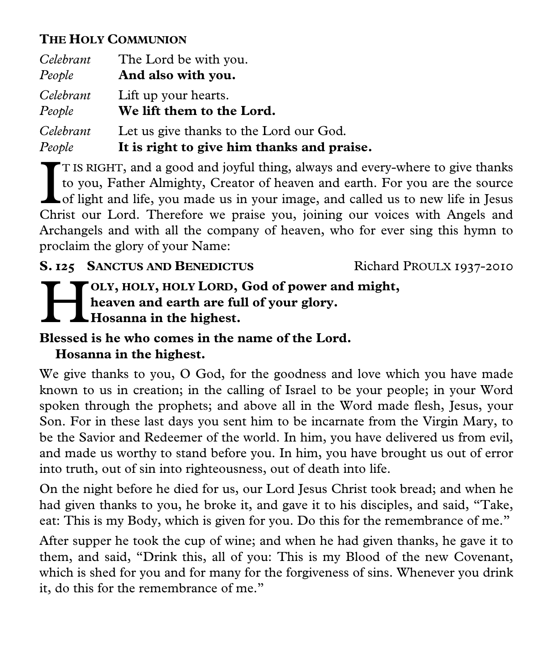# **THE HOLY COMMUNION**

| Celebrant | The Lord be with you.                      |
|-----------|--------------------------------------------|
| People    | And also with you.                         |
| Celebrant | Lift up your hearts.                       |
| People    | We lift them to the Lord.                  |
| Celebrant | Let us give thanks to the Lord our God.    |
| People    | It is right to give him thanks and praise. |

T IS RIGHT, and a good and joyful thing, always and every-where to give thanks to you, Father Almighty, Creator of heaven and earth. For you are the source of light and life, you made us in your image, and called us to new life in Jesus Christ our Lord. Therefore we praise you, joining our voices with Angels and Archangels and with all the company of heaven, who for ever sing this hymn to proclaim the glory of your Name:  $\prod_{\text{Chr}}$ 

# **S. 125 SANCTUS AND BENEDICTUS** Richard PROULX 1937-2010 **OLY, HOLY, HOLY LORD, God of power and might, heaven and earth are full of your glory. Hosanna in the highest. Blessed is he who comes in the name of the Lord.**<br>Blessed is he who comes in the name of the Lord.

# **Hosanna in the highest.**

We give thanks to you, O God, for the goodness and love which you have made known to us in creation; in the calling of Israel to be your people; in your Word spoken through the prophets; and above all in the Word made flesh, Jesus, your Son. For in these last days you sent him to be incarnate from the Virgin Mary, to be the Savior and Redeemer of the world. In him, you have delivered us from evil, and made us worthy to stand before you. In him, you have brought us out of error into truth, out of sin into righteousness, out of death into life.

On the night before he died for us, our Lord Jesus Christ took bread; and when he had given thanks to you, he broke it, and gave it to his disciples, and said, "Take, eat: This is my Body, which is given for you. Do this for the remembrance of me."

After supper he took the cup of wine; and when he had given thanks, he gave it to them, and said, "Drink this, all of you: This is my Blood of the new Covenant, which is shed for you and for many for the forgiveness of sins. Whenever you drink it, do this for the remembrance of me."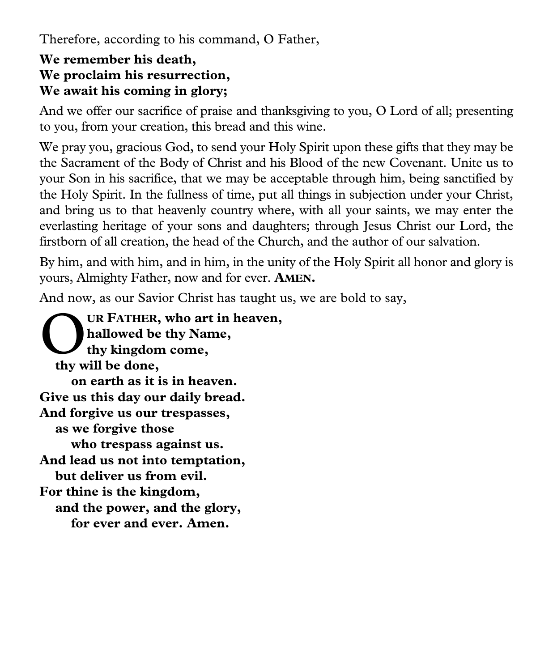Therefore, according to his command, O Father,

### **We remember his death, We proclaim his resurrection, We await his coming in glory;**

And we offer our sacrifice of praise and thanksgiving to you, O Lord of all; presenting to you, from your creation, this bread and this wine.

We pray you, gracious God, to send your Holy Spirit upon these gifts that they may be the Sacrament of the Body of Christ and his Blood of the new Covenant. Unite us to your Son in his sacrifice, that we may be acceptable through him, being sanctified by the Holy Spirit. In the fullness of time, put all things in subjection under your Christ, and bring us to that heavenly country where, with all your saints, we may enter the everlasting heritage of your sons and daughters; through Jesus Christ our Lord, the firstborn of all creation, the head of the Church, and the author of our salvation.

By him, and with him, and in him, in the unity of the Holy Spirit all honor and glory is yours, Almighty Father, now and for ever. **AMEN.**

And now, as our Savior Christ has taught us, we are bold to say,

**UR FATHER, who art in heaven, hallowed be thy Name, thy kingdom come,** UR FATHER,<br>thy kingdon<br>thy will be done, **on earth as it is in heaven. Give us this day our daily bread. And forgive us our trespasses, as we forgive those who trespass against us. And lead us not into temptation, but deliver us from evil. For thine is the kingdom, and the power, and the glory, for ever and ever. Amen.**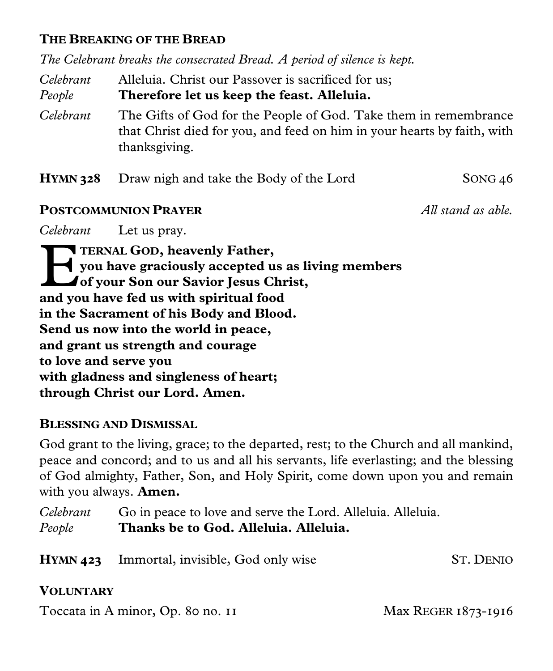# **THE BREAKING OF THE BREAD**

*The Celebrant breaks the consecrated Bread. A period of silence is kept.*

*Celebrant* Alleluia. Christ our Passover is sacrificed for us; *People* **Therefore let us keep the feast. Alleluia.** *Celebrant* The Gifts of God for the People of God. Take them in remembrance that Christ died for you, and feed on him in your hearts by faith, with thanksgiving.

**HYMN 328** Draw nigh and take the Body of the Lord SONG 46

#### **POSTCOMMUNION PRAYER** *All stand as able.*

*Celebrant* Let us pray.

**TERNAL GOD, heavenly Father, you have graciously accepted us as living members of your Son our Savior Jesus Christ, and you have graciously accepted us**<br> **and you have fed us with spiritual food**<br> **and you have fed us with spiritual food in the Sacrament of his Body and Blood. Send us now into the world in peace, and grant us strength and courage to love and serve you with gladness and singleness of heart; through Christ our Lord. Amen.**

#### **BLESSING AND DISMISSAL**

God grant to the living, grace; to the departed, rest; to the Church and all mankind, peace and concord; and to us and all his servants, life everlasting; and the blessing of God almighty, Father, Son, and Holy Spirit, come down upon you and remain with you always. **Amen.**

*Celebrant* Go in peace to love and serve the Lord. Alleluia. Alleluia. *People* **Thanks be to God. Alleluia. Alleluia.**

| <b>HYMN 423</b> Immortal, invisible, God only wise | ST. DENIO |
|----------------------------------------------------|-----------|
|                                                    |           |

#### **VOLUNTARY**

Toccata in A minor, Op. 80 no. 11 Max REGER 1873-1916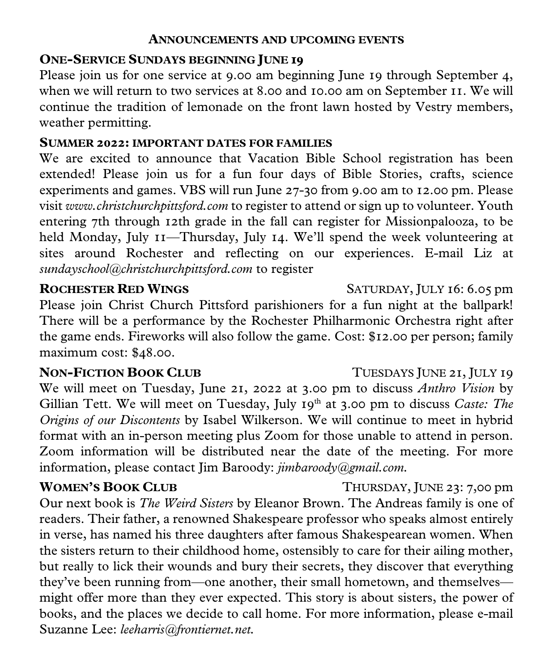#### **ANNOUNCEMENTS AND UPCOMING EVENTS**

### **ONE-SERVICE SUNDAYS BEGINNING JUNE 19**

Please join us for one service at 9.00 am beginning June 19 through September 4, when we will return to two services at 8.00 and 10.00 am on September 11. We will continue the tradition of lemonade on the front lawn hosted by Vestry members, weather permitting.

#### **SUMMER 2022: IMPORTANT DATES FOR FAMILIES**

We are excited to announce that Vacation Bible School registration has been extended! Please join us for a fun four days of Bible Stories, crafts, science experiments and games. VBS will run June 27-30 from 9.00 am to 12.00 pm. Please visit *www.christchurchpittsford.com* to register to attend or sign up to volunteer. Youth entering 7th through 12th grade in the fall can register for Missionpalooza, to be held Monday, July 11—Thursday, July 14. We'll spend the week volunteering at sites around Rochester and reflecting on our experiences. E-mail Liz at *sundayschool@christchurchpittsford.com* to register

### **ROCHESTER RED WINGS** SATURDAY, JULY 16: 6.05 pm Please join Christ Church Pittsford parishioners for a fun night at the ballpark! There will be a performance by the Rochester Philharmonic Orchestra right after the game ends. Fireworks will also follow the game. Cost: \$12.00 per person; family maximum cost: \$48.00.

# **NON-FICTION BOOK CLUB** TUESDAYS JUNE 21, JULY 19

We will meet on Tuesday, June 21, 2022 at 3.00 pm to discuss *Anthro Vision* by Gillian Tett. We will meet on Tuesday, July 19<sup>th</sup> at 3.00 pm to discuss *Caste: The Origins of our Discontents* by Isabel Wilkerson. We will continue to meet in hybrid format with an in-person meeting plus Zoom for those unable to attend in person. Zoom information will be distributed near the date of the meeting. For more information, please contact Jim Baroody: *jimbaroody@gmail.com.*

# **WOMEN'S BOOK CLUB** THURSDAY, JUNE 23: 7,00 pm

Our next book is *The Weird Sisters* by Eleanor Brown. The Andreas family is one of readers. Their father, a renowned Shakespeare professor who speaks almost entirely in verse, has named his three daughters after famous Shakespearean women. When the sisters return to their childhood home, ostensibly to care for their ailing mother, but really to lick their wounds and bury their secrets, they discover that everything they've been running from—one another, their small hometown, and themselves might offer more than they ever expected. This story is about sisters, the power of books, and the places we decide to call home. For more information, please e-mail Suzanne Lee: *leeharris@frontiernet.net.*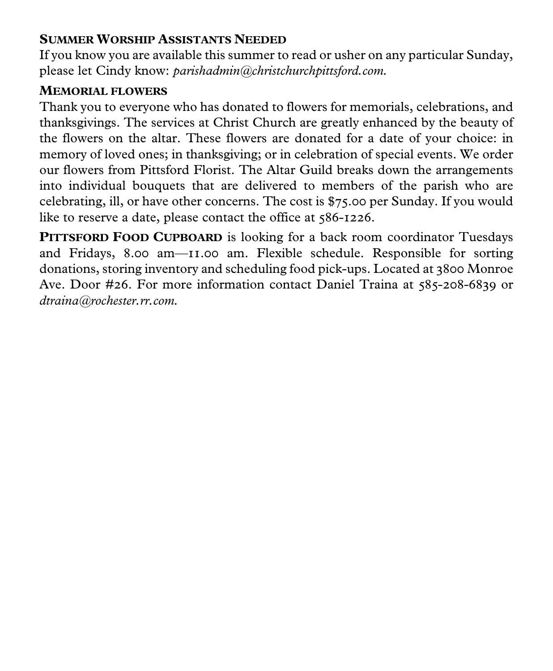# **SUMMER WORSHIP ASSISTANTS NEEDED**

If you know you are available this summer to read or usher on any particular Sunday, please let Cindy know: *parishadmin@christchurchpittsford.com.*

# **MEMORIAL FLOWERS**

Thank you to everyone who has donated to flowers for memorials, celebrations, and thanksgivings. The services at Christ Church are greatly enhanced by the beauty of the flowers on the altar. These flowers are donated for a date of your choice: in memory of loved ones; in thanksgiving; or in celebration of special events. We order our flowers from Pittsford Florist. The Altar Guild breaks down the arrangements into individual bouquets that are delivered to members of the parish who are celebrating, ill, or have other concerns. The cost is \$75.00 per Sunday. If you would like to reserve a date, please contact the office at  $586$ -1226.

**PITTSFORD FOOD CUPBOARD** is looking for a back room coordinator Tuesdays and Fridays, 8.00 am—11.00 am. Flexible schedule. Responsible for sorting donations, storing inventory and scheduling food pick-ups. Located at 3800 Monroe Ave. Door #26. For more information contact Daniel Traina at 585-208-6839 or *dtraina@rochester.rr.com.*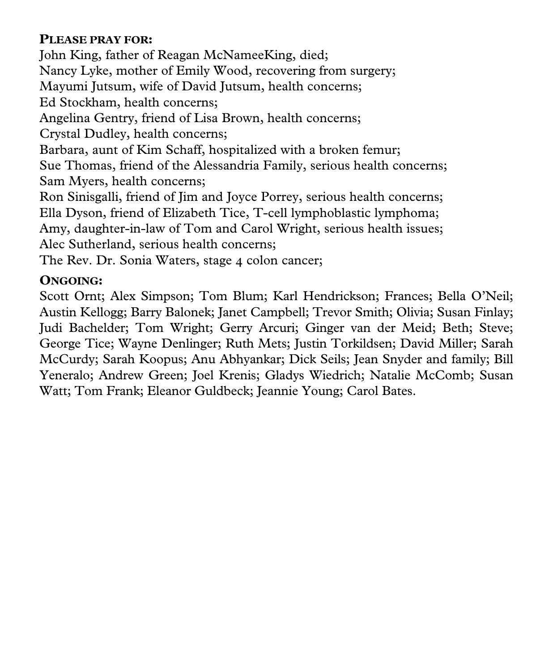#### **PLEASE PRAY FOR:**

John King, father of Reagan McNameeKing, died; Nancy Lyke, mother of Emily Wood, recovering from surgery; Mayumi Jutsum, wife of David Jutsum, health concerns; Ed Stockham, health concerns; Angelina Gentry, friend of Lisa Brown, health concerns; Crystal Dudley, health concerns; Barbara, aunt of Kim Schaff, hospitalized with a broken femur; Sue Thomas, friend of the Alessandria Family, serious health concerns; Sam Myers, health concerns; Ron Sinisgalli, friend of Jim and Joyce Porrey, serious health concerns; Ella Dyson, friend of Elizabeth Tice, T-cell lymphoblastic lymphoma; Amy, daughter-in-law of Tom and Carol Wright, serious health issues; Alec Sutherland, serious health concerns; The Rev. Dr. Sonia Waters, stage 4 colon cancer;

# **ONGOING:**

Scott Ornt; Alex Simpson; Tom Blum; Karl Hendrickson; Frances; Bella O'Neil; Austin Kellogg; Barry Balonek; Janet Campbell; Trevor Smith; Olivia; Susan Finlay; Judi Bachelder; Tom Wright; Gerry Arcuri; Ginger van der Meid; Beth; Steve; George Tice; Wayne Denlinger; Ruth Mets; Justin Torkildsen; David Miller; Sarah McCurdy; Sarah Koopus; Anu Abhyankar; Dick Seils; Jean Snyder and family; Bill Yeneralo; Andrew Green; Joel Krenis; Gladys Wiedrich; Natalie McComb; Susan Watt; Tom Frank; Eleanor Guldbeck; Jeannie Young; Carol Bates.